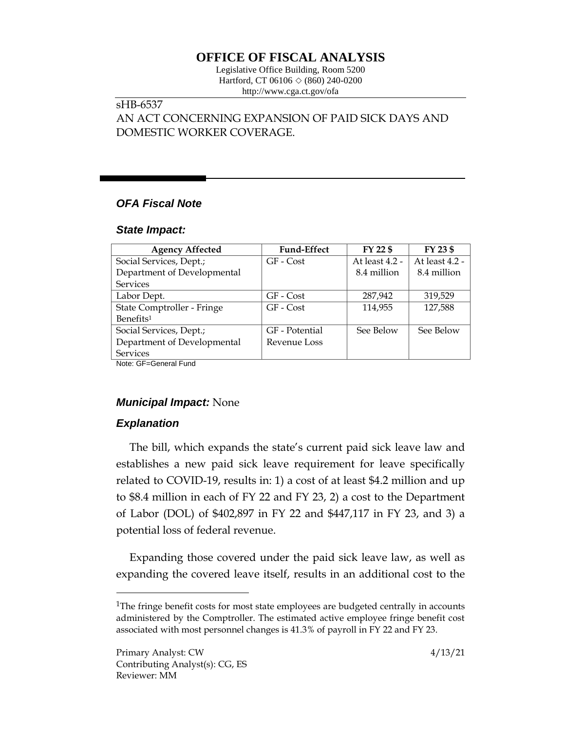# **OFFICE OF FISCAL ANALYSIS**

Legislative Office Building, Room 5200 Hartford, CT 06106  $\Diamond$  (860) 240-0200 http://www.cga.ct.gov/ofa

# sHB-6537

# AN ACT CONCERNING EXPANSION OF PAID SICK DAYS AND DOMESTIC WORKER COVERAGE.

# *OFA Fiscal Note*

#### *State Impact:*

| <b>Agency Affected</b>      | <b>Fund-Effect</b> | FY 22 \$       | FY 23 \$       |
|-----------------------------|--------------------|----------------|----------------|
| Social Services, Dept.;     | GF - Cost          | At least 4.2 - | At least 4.2 - |
| Department of Developmental |                    | 8.4 million    | 8.4 million    |
| <b>Services</b>             |                    |                |                |
| Labor Dept.                 | GF - Cost          | 287,942        | 319,529        |
| State Comptroller - Fringe  | GF - Cost          | 114,955        | 127,588        |
| Benefits <sup>1</sup>       |                    |                |                |
| Social Services, Dept.;     | GF - Potential     | See Below      | See Below      |
| Department of Developmental | Revenue Loss       |                |                |
| <b>Services</b>             |                    |                |                |
| Note: GF=General Fund       |                    |                |                |

### *Municipal Impact:* None

# *Explanation*

 $\overline{a}$ 

The bill, which expands the state's current paid sick leave law and establishes a new paid sick leave requirement for leave specifically related to COVID-19, results in: 1) a cost of at least \$4.2 million and up to \$8.4 million in each of FY 22 and FY 23, 2) a cost to the Department of Labor (DOL) of \$402,897 in FY 22 and \$447,117 in FY 23, and 3) a potential loss of federal revenue.

Expanding those covered under the paid sick leave law, as well as expanding the covered leave itself, results in an additional cost to the

<sup>&</sup>lt;sup>1</sup>The fringe benefit costs for most state employees are budgeted centrally in accounts administered by the Comptroller. The estimated active employee fringe benefit cost associated with most personnel changes is 41.3% of payroll in FY 22 and FY 23.